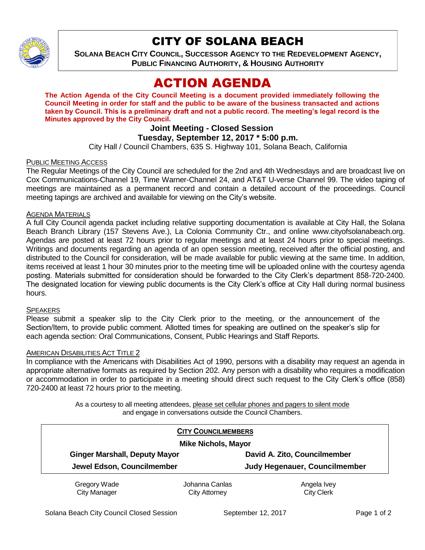

# CITY OF SOLANA BEACH

**SOLANA BEACH CITY COUNCIL, SUCCESSOR AGENCY TO THE REDEVELOPMENT AGENCY, PUBLIC FINANCING AUTHORITY, & HOUSING AUTHORITY** 

# ACTION AGENDA

**The Action Agenda of the City Council Meeting is a document provided immediately following the Council Meeting in order for staff and the public to be aware of the business transacted and actions taken by Council. This is a preliminary draft and not a public record. The meeting's legal record is the Minutes approved by the City Council.**

# **Joint Meeting - Closed Session**

## **Tuesday, September 12, 2017 \* 5:00 p.m.**

City Hall / Council Chambers, 635 S. Highway 101, Solana Beach, California

#### PUBLIC MEETING ACCESS

The Regular Meetings of the City Council are scheduled for the 2nd and 4th Wednesdays and are broadcast live on Cox Communications-Channel 19, Time Warner-Channel 24, and AT&T U-verse Channel 99. The video taping of meetings are maintained as a permanent record and contain a detailed account of the proceedings. Council meeting tapings are archived and available for viewing on the City's website.

#### AGENDA MATERIALS

A full City Council agenda packet including relative supporting documentation is available at City Hall, the Solana Beach Branch Library (157 Stevens Ave.), La Colonia Community Ctr., and online www.cityofsolanabeach.org. Agendas are posted at least 72 hours prior to regular meetings and at least 24 hours prior to special meetings. Writings and documents regarding an agenda of an open session meeting, received after the official posting, and distributed to the Council for consideration, will be made available for public viewing at the same time. In addition, items received at least 1 hour 30 minutes prior to the meeting time will be uploaded online with the courtesy agenda posting. Materials submitted for consideration should be forwarded to the City Clerk's department 858-720-2400. The designated location for viewing public documents is the City Clerk's office at City Hall during normal business hours.

#### **SPEAKERS**

Please submit a speaker slip to the City Clerk prior to the meeting, or the announcement of the Section/Item, to provide public comment. Allotted times for speaking are outlined on the speaker's slip for each agenda section: Oral Communications, Consent, Public Hearings and Staff Reports.

#### AMERICAN DISABILITIES ACT TITLE 2

In compliance with the Americans with Disabilities Act of 1990, persons with a disability may request an agenda in appropriate alternative formats as required by Section 202. Any person with a disability who requires a modification or accommodation in order to participate in a meeting should direct such request to the City Clerk's office (858) 720-2400 at least 72 hours prior to the meeting.

> As a courtesy to all meeting attendees, please set cellular phones and pagers to silent mode and engage in conversations outside the Council Chambers.

|                                                                    | <b>CITY COUNCILMEMBERS</b> |                               |
|--------------------------------------------------------------------|----------------------------|-------------------------------|
| <b>Mike Nichols, Mayor</b>                                         |                            |                               |
| <b>Ginger Marshall, Deputy Mayor</b><br>Jewel Edson, Councilmember |                            | David A. Zito, Councilmember  |
|                                                                    |                            | Judy Hegenauer, Councilmember |
| Gregory Wade                                                       | Johanna Canlas             | Angela Ivey                   |
| <b>City Manager</b>                                                | <b>City Attorney</b>       | <b>City Clerk</b>             |